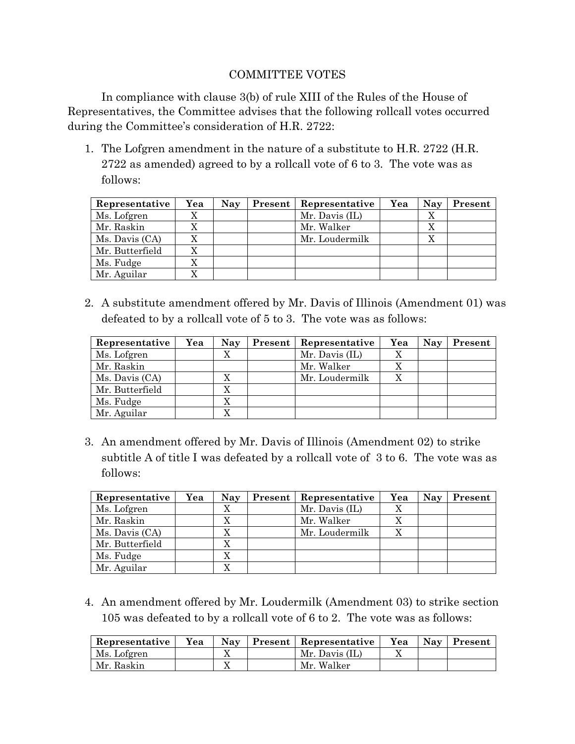## COMMITTEE VOTES

In compliance with clause 3(b) of rule XIII of the Rules of the House of Representatives, the Committee advises that the following rollcall votes occurred during the Committee's consideration of H.R. 2722:

1. The Lofgren amendment in the nature of a substitute to H.R. 2722 (H.R. 2722 as amended) agreed to by a rollcall vote of 6 to 3. The vote was as follows:

| Representative  | Yea | <b>Nay</b> | Present | Representative | Yea | Nay | Present |
|-----------------|-----|------------|---------|----------------|-----|-----|---------|
| Ms. Lofgren     |     |            |         | Mr. Davis (IL) |     |     |         |
| Mr. Raskin      |     |            |         | Mr. Walker     |     |     |         |
| Ms. Davis (CA)  |     |            |         | Mr. Loudermilk |     |     |         |
| Mr. Butterfield |     |            |         |                |     |     |         |
| Ms. Fudge       |     |            |         |                |     |     |         |
| Mr. Aguilar     |     |            |         |                |     |     |         |

2. A substitute amendment offered by Mr. Davis of Illinois (Amendment 01) was defeated to by a rollcall vote of 5 to 3. The vote was as follows:

| Representative  | Yea | <b>Nay</b> | Present | Representative | Yea | Nay | Present |
|-----------------|-----|------------|---------|----------------|-----|-----|---------|
| Ms. Lofgren     |     |            |         | Mr. Davis (IL) |     |     |         |
| Mr. Raskin      |     |            |         | Mr. Walker     |     |     |         |
| Ms. Davis (CA)  |     |            |         | Mr. Loudermilk |     |     |         |
| Mr. Butterfield |     |            |         |                |     |     |         |
| Ms. Fudge       |     |            |         |                |     |     |         |
| Mr. Aguilar     |     |            |         |                |     |     |         |

3. An amendment offered by Mr. Davis of Illinois (Amendment 02) to strike subtitle A of title I was defeated by a rollcall vote of 3 to 6. The vote was as follows:

| Representative  | Yea | <b>Nay</b> | Present | Representative | Yea | Nay | Present |
|-----------------|-----|------------|---------|----------------|-----|-----|---------|
| Ms. Lofgren     |     |            |         | Mr. Davis (IL) |     |     |         |
| Mr. Raskin      |     |            |         | Mr. Walker     |     |     |         |
| Ms. Davis (CA)  |     |            |         | Mr. Loudermilk |     |     |         |
| Mr. Butterfield |     |            |         |                |     |     |         |
| Ms. Fudge       |     | X          |         |                |     |     |         |
| Mr. Aguilar     |     |            |         |                |     |     |         |

4. An amendment offered by Mr. Loudermilk (Amendment 03) to strike section 105 was defeated to by a rollcall vote of 6 to 2. The vote was as follows:

| Representative | Yea | Nav | <b>Present   Representative  </b> | Yea | <b>Nav</b> | Present |
|----------------|-----|-----|-----------------------------------|-----|------------|---------|
| Ms. Lofgren    |     |     | Mr. Davis (IL)                    |     |            |         |
| Mr. Raskin     |     |     | Mr. Walker                        |     |            |         |